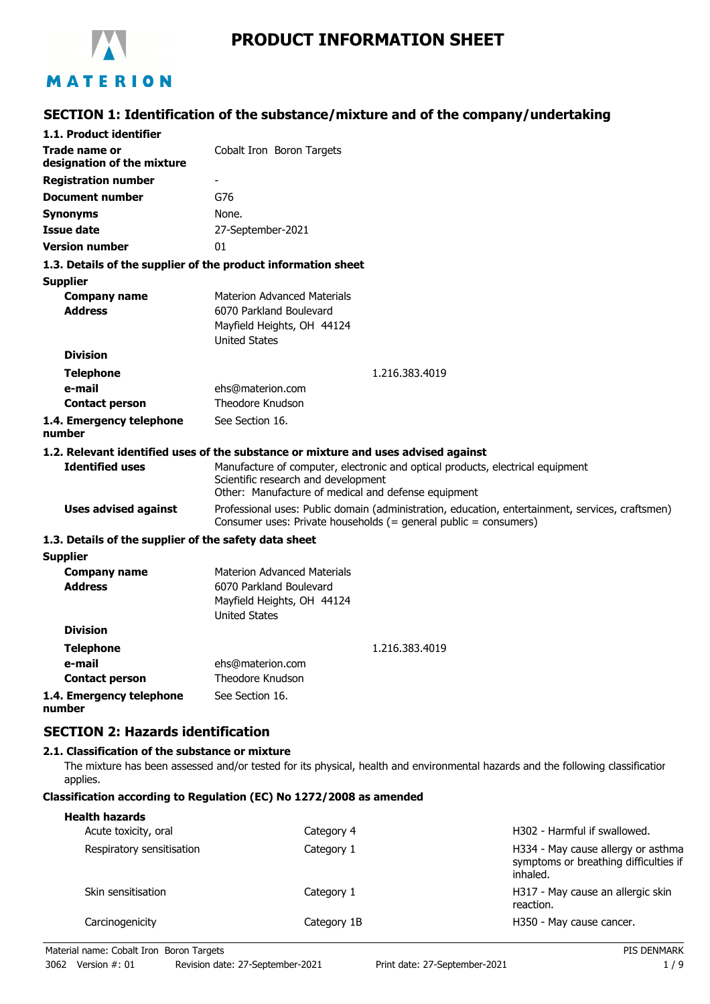

# **PRODUCT INFORMATION SHEET**

# **SECTION 1: Identification of the substance/mixture and of the company/undertaking**

| 1.1. Product identifier                               |                                                                                                                                                                        |
|-------------------------------------------------------|------------------------------------------------------------------------------------------------------------------------------------------------------------------------|
| Trade name or                                         | Cobalt Iron Boron Targets                                                                                                                                              |
| designation of the mixture                            |                                                                                                                                                                        |
| <b>Registration number</b>                            |                                                                                                                                                                        |
| <b>Document number</b>                                | G76                                                                                                                                                                    |
| <b>Synonyms</b>                                       | None.                                                                                                                                                                  |
| <b>Issue date</b>                                     | 27-September-2021                                                                                                                                                      |
| <b>Version number</b>                                 | 01                                                                                                                                                                     |
|                                                       | 1.3. Details of the supplier of the product information sheet                                                                                                          |
| <b>Supplier</b>                                       |                                                                                                                                                                        |
| <b>Company name</b>                                   | <b>Materion Advanced Materials</b>                                                                                                                                     |
| <b>Address</b>                                        | 6070 Parkland Boulevard                                                                                                                                                |
|                                                       | Mayfield Heights, OH 44124                                                                                                                                             |
|                                                       | <b>United States</b>                                                                                                                                                   |
| <b>Division</b>                                       |                                                                                                                                                                        |
| <b>Telephone</b>                                      | 1.216.383.4019                                                                                                                                                         |
| e-mail                                                | ehs@materion.com<br><b>Theodore Knudson</b>                                                                                                                            |
| <b>Contact person</b>                                 |                                                                                                                                                                        |
| 1.4. Emergency telephone<br>number                    | See Section 16.                                                                                                                                                        |
|                                                       | 1.2. Relevant identified uses of the substance or mixture and uses advised against                                                                                     |
| <b>Identified uses</b>                                | Manufacture of computer, electronic and optical products, electrical equipment                                                                                         |
|                                                       | Scientific research and development                                                                                                                                    |
|                                                       | Other: Manufacture of medical and defense equipment                                                                                                                    |
| <b>Uses advised against</b>                           | Professional uses: Public domain (administration, education, entertainment, services, craftsmen)<br>Consumer uses: Private households $(=$ general public = consumers) |
| 1.3. Details of the supplier of the safety data sheet |                                                                                                                                                                        |
| <b>Supplier</b>                                       |                                                                                                                                                                        |
| <b>Company name</b>                                   | <b>Materion Advanced Materials</b>                                                                                                                                     |
| <b>Address</b>                                        | 6070 Parkland Boulevard                                                                                                                                                |
|                                                       | Mayfield Heights, OH 44124                                                                                                                                             |
| <b>Division</b>                                       | <b>United States</b>                                                                                                                                                   |
|                                                       |                                                                                                                                                                        |
| <b>Telephone</b>                                      | 1.216.383.4019                                                                                                                                                         |
| e-mail                                                | ehs@materion.com                                                                                                                                                       |
| <b>Contact person</b>                                 | Theodore Knudson                                                                                                                                                       |
| 1.4. Emergency telephone<br>number                    | See Section 16.                                                                                                                                                        |
| <b>SECTION 2: Hazards identification</b>              |                                                                                                                                                                        |
| 2.1. Classification of the substance or mixture       |                                                                                                                                                                        |

The mixture has been assessed and/or tested for its physical, health and environmental hazards and the following classification applies.

#### **Classification according to Regulation (EC) No 1272/2008 as amended**

| <b>Health hazards</b><br>Acute toxicity, oral | Category 4  | H302 - Harmful if swallowed.                                                            |
|-----------------------------------------------|-------------|-----------------------------------------------------------------------------------------|
| Respiratory sensitisation                     | Category 1  | H334 - May cause allergy or asthma<br>symptoms or breathing difficulties if<br>inhaled. |
| Skin sensitisation                            | Category 1  | H317 - May cause an allergic skin<br>reaction.                                          |
| Carcinogenicity                               | Category 1B | H350 - May cause cancer.                                                                |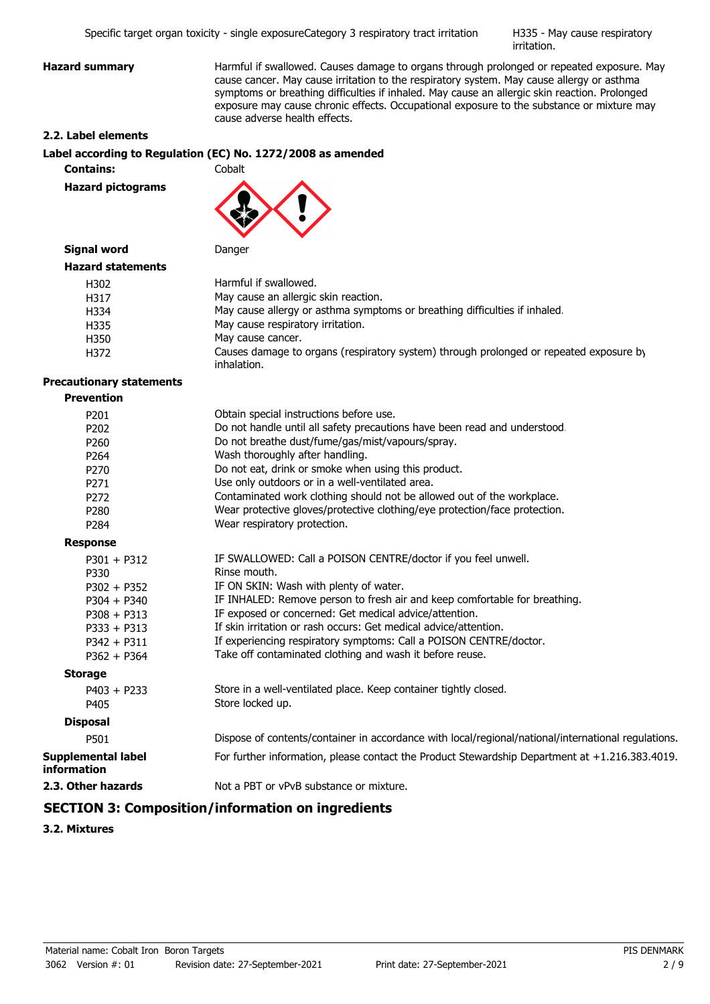H335 - May cause respiratory irritation.

**Hazard summary Harmful if swallowed. Causes damage to organs through prolonged or repeated exposure. May** cause cancer. May cause irritation to the respiratory system. May cause allergy or asthma symptoms or breathing difficulties if inhaled. May cause an allergic skin reaction. Prolonged exposure may cause chronic effects. Occupational exposure to the substance or mixture may cause adverse health effects.

#### **2.2. Label elements**

#### **Label according to Regulation (EC) No. 1272/2008 as amended**

**Contains:** Cobalt

**Hazard pictograms**



## **Signal word** Danger

| <b>Hazard statements</b> |                                                                                                       |
|--------------------------|-------------------------------------------------------------------------------------------------------|
| H302                     | Harmful if swallowed.                                                                                 |
| H317                     | May cause an allergic skin reaction.                                                                  |
| H334                     | May cause allergy or asthma symptoms or breathing difficulties if inhaled.                            |
| H335                     | May cause respiratory irritation.                                                                     |
| H350                     | May cause cancer.                                                                                     |
| H372                     | Causes damage to organs (respiratory system) through prolonged or repeated exposure by<br>inhalation. |

#### **Precautionary statements**

| <b>Prevention</b> |
|-------------------|
|-------------------|

| P <sub>201</sub>                                | Obtain special instructions before use.                                                             |
|-------------------------------------------------|-----------------------------------------------------------------------------------------------------|
| P <sub>202</sub>                                | Do not handle until all safety precautions have been read and understood.                           |
| P260                                            | Do not breathe dust/fume/gas/mist/vapours/spray.                                                    |
| P <sub>264</sub>                                | Wash thoroughly after handling.                                                                     |
| P <sub>270</sub>                                | Do not eat, drink or smoke when using this product.                                                 |
| P <sub>271</sub>                                | Use only outdoors or in a well-ventilated area.                                                     |
| P <sub>272</sub>                                | Contaminated work clothing should not be allowed out of the workplace.                              |
| P <sub>280</sub>                                | Wear protective gloves/protective clothing/eye protection/face protection.                          |
| P284                                            | Wear respiratory protection.                                                                        |
| <b>Response</b>                                 |                                                                                                     |
| $P301 + P312$                                   | IF SWALLOWED: Call a POISON CENTRE/doctor if you feel unwell.                                       |
| P330                                            | Rinse mouth.                                                                                        |
| $P302 + P352$                                   | IF ON SKIN: Wash with plenty of water.                                                              |
| $P304 + P340$                                   | IF INHALED: Remove person to fresh air and keep comfortable for breathing.                          |
| $P308 + P313$                                   | IF exposed or concerned: Get medical advice/attention.                                              |
| $P333 + P313$                                   | If skin irritation or rash occurs: Get medical advice/attention.                                    |
| $P342 + P311$                                   | If experiencing respiratory symptoms: Call a POISON CENTRE/doctor.                                  |
| $P362 + P364$                                   | Take off contaminated clothing and wash it before reuse.                                            |
| <b>Storage</b>                                  |                                                                                                     |
| $P403 + P233$                                   | Store in a well-ventilated place. Keep container tightly closed.                                    |
| P405                                            | Store locked up.                                                                                    |
| <b>Disposal</b>                                 |                                                                                                     |
| P501                                            | Dispose of contents/container in accordance with local/regional/national/international regulations. |
| <b>Supplemental label</b><br><b>information</b> | For further information, please contact the Product Stewardship Department at +1.216.383.4019.      |
| 2.3. Other hazards                              | Not a PBT or vPvB substance or mixture.                                                             |

# **SECTION 3: Composition/information on ingredients**

**3.2. Mixtures**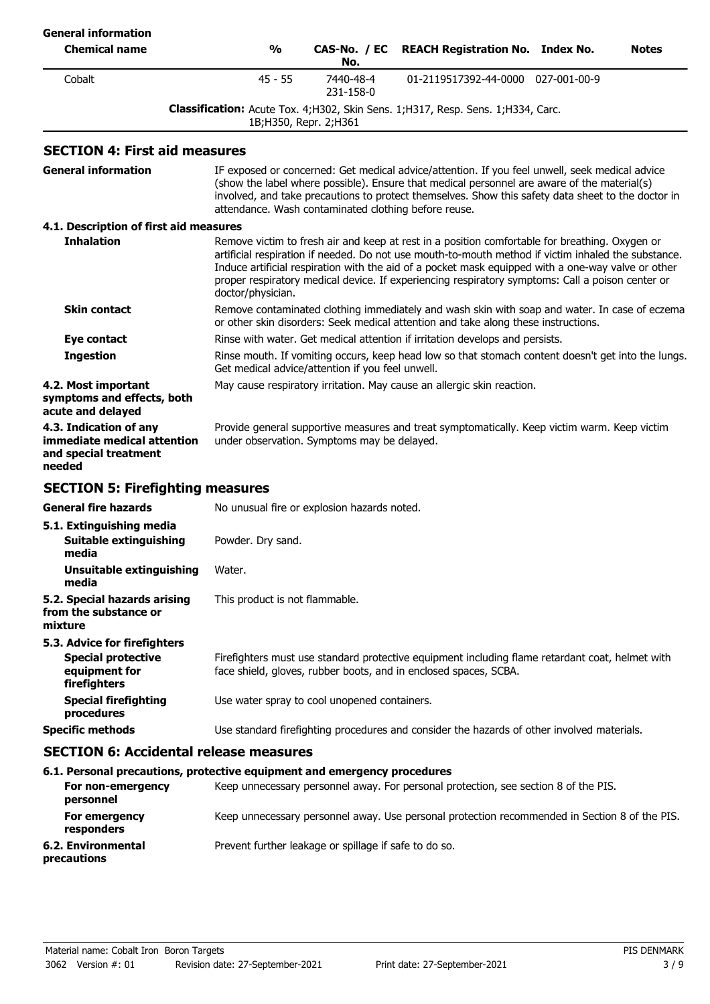| <b>General information</b>                                                                 |                                                                                                                                                                                     |                                                      |                                                                                                                                                                                                                                                                                                                                                                                                                 |              |
|--------------------------------------------------------------------------------------------|-------------------------------------------------------------------------------------------------------------------------------------------------------------------------------------|------------------------------------------------------|-----------------------------------------------------------------------------------------------------------------------------------------------------------------------------------------------------------------------------------------------------------------------------------------------------------------------------------------------------------------------------------------------------------------|--------------|
| <b>Chemical name</b>                                                                       | $\frac{0}{0}$                                                                                                                                                                       | CAS-No. / EC<br>No.                                  | <b>REACH Registration No. Index No.</b>                                                                                                                                                                                                                                                                                                                                                                         | <b>Notes</b> |
| Cobalt                                                                                     | $45 - 55$                                                                                                                                                                           | 7440-48-4<br>231-158-0                               | 01-2119517392-44-0000 027-001-00-9                                                                                                                                                                                                                                                                                                                                                                              |              |
|                                                                                            |                                                                                                                                                                                     | 1B; H350, Repr. 2; H361                              | Classification: Acute Tox. 4; H302, Skin Sens. 1; H317, Resp. Sens. 1; H334, Carc.                                                                                                                                                                                                                                                                                                                              |              |
| <b>SECTION 4: First aid measures</b>                                                       |                                                                                                                                                                                     |                                                      |                                                                                                                                                                                                                                                                                                                                                                                                                 |              |
| <b>General information</b>                                                                 |                                                                                                                                                                                     | attendance. Wash contaminated clothing before reuse. | IF exposed or concerned: Get medical advice/attention. If you feel unwell, seek medical advice<br>(show the label where possible). Ensure that medical personnel are aware of the material(s)<br>involved, and take precautions to protect themselves. Show this safety data sheet to the doctor in                                                                                                             |              |
| 4.1. Description of first aid measures                                                     |                                                                                                                                                                                     |                                                      |                                                                                                                                                                                                                                                                                                                                                                                                                 |              |
| <b>Inhalation</b>                                                                          | doctor/physician.                                                                                                                                                                   |                                                      | Remove victim to fresh air and keep at rest in a position comfortable for breathing. Oxygen or<br>artificial respiration if needed. Do not use mouth-to-mouth method if victim inhaled the substance.<br>Induce artificial respiration with the aid of a pocket mask equipped with a one-way valve or other<br>proper respiratory medical device. If experiencing respiratory symptoms: Call a poison center or |              |
| <b>Skin contact</b>                                                                        | Remove contaminated clothing immediately and wash skin with soap and water. In case of eczema<br>or other skin disorders: Seek medical attention and take along these instructions. |                                                      |                                                                                                                                                                                                                                                                                                                                                                                                                 |              |
| Eye contact                                                                                |                                                                                                                                                                                     |                                                      | Rinse with water. Get medical attention if irritation develops and persists.                                                                                                                                                                                                                                                                                                                                    |              |
| <b>Ingestion</b>                                                                           |                                                                                                                                                                                     | Get medical advice/attention if you feel unwell.     | Rinse mouth. If vomiting occurs, keep head low so that stomach content doesn't get into the lungs.                                                                                                                                                                                                                                                                                                              |              |
| 4.2. Most important<br>symptoms and effects, both<br>acute and delayed                     |                                                                                                                                                                                     |                                                      | May cause respiratory irritation. May cause an allergic skin reaction.                                                                                                                                                                                                                                                                                                                                          |              |
| 4.3. Indication of any<br>immediate medical attention<br>and special treatment<br>needed   |                                                                                                                                                                                     | under observation. Symptoms may be delayed.          | Provide general supportive measures and treat symptomatically. Keep victim warm. Keep victim                                                                                                                                                                                                                                                                                                                    |              |
| <b>SECTION 5: Firefighting measures</b>                                                    |                                                                                                                                                                                     |                                                      |                                                                                                                                                                                                                                                                                                                                                                                                                 |              |
| <b>General fire hazards</b>                                                                |                                                                                                                                                                                     | No unusual fire or explosion hazards noted.          |                                                                                                                                                                                                                                                                                                                                                                                                                 |              |
| 5.1. Extinguishing media<br><b>Suitable extinguishing</b><br>media                         | Powder. Dry sand.                                                                                                                                                                   |                                                      |                                                                                                                                                                                                                                                                                                                                                                                                                 |              |
| Unsuitable extinguishing<br>media                                                          | Water.                                                                                                                                                                              |                                                      |                                                                                                                                                                                                                                                                                                                                                                                                                 |              |
| 5.2. Special hazards arising<br>from the substance or<br>mixture                           | This product is not flammable.                                                                                                                                                      |                                                      |                                                                                                                                                                                                                                                                                                                                                                                                                 |              |
| 5.3. Advice for firefighters<br><b>Special protective</b><br>equipment for<br>firefighters |                                                                                                                                                                                     |                                                      | Firefighters must use standard protective equipment including flame retardant coat, helmet with<br>face shield, gloves, rubber boots, and in enclosed spaces, SCBA.                                                                                                                                                                                                                                             |              |
| <b>Special firefighting</b><br>procedures                                                  |                                                                                                                                                                                     | Use water spray to cool unopened containers.         |                                                                                                                                                                                                                                                                                                                                                                                                                 |              |
| <b>Specific methods</b>                                                                    |                                                                                                                                                                                     |                                                      | Use standard firefighting procedures and consider the hazards of other involved materials.                                                                                                                                                                                                                                                                                                                      |              |
| <b>SECTION 6: Accidental release measures</b>                                              |                                                                                                                                                                                     |                                                      |                                                                                                                                                                                                                                                                                                                                                                                                                 |              |
| 6.1. Personal precautions, protective equipment and emergency procedures                   |                                                                                                                                                                                     |                                                      |                                                                                                                                                                                                                                                                                                                                                                                                                 |              |
| For non-emergency<br>personnel                                                             |                                                                                                                                                                                     |                                                      | Keep unnecessary personnel away. For personal protection, see section 8 of the PIS.                                                                                                                                                                                                                                                                                                                             |              |
| For emergency                                                                              |                                                                                                                                                                                     |                                                      | Keep unnecessary personnel away. Use personal protection recommended in Section 8 of the PIS.                                                                                                                                                                                                                                                                                                                   |              |

**responders**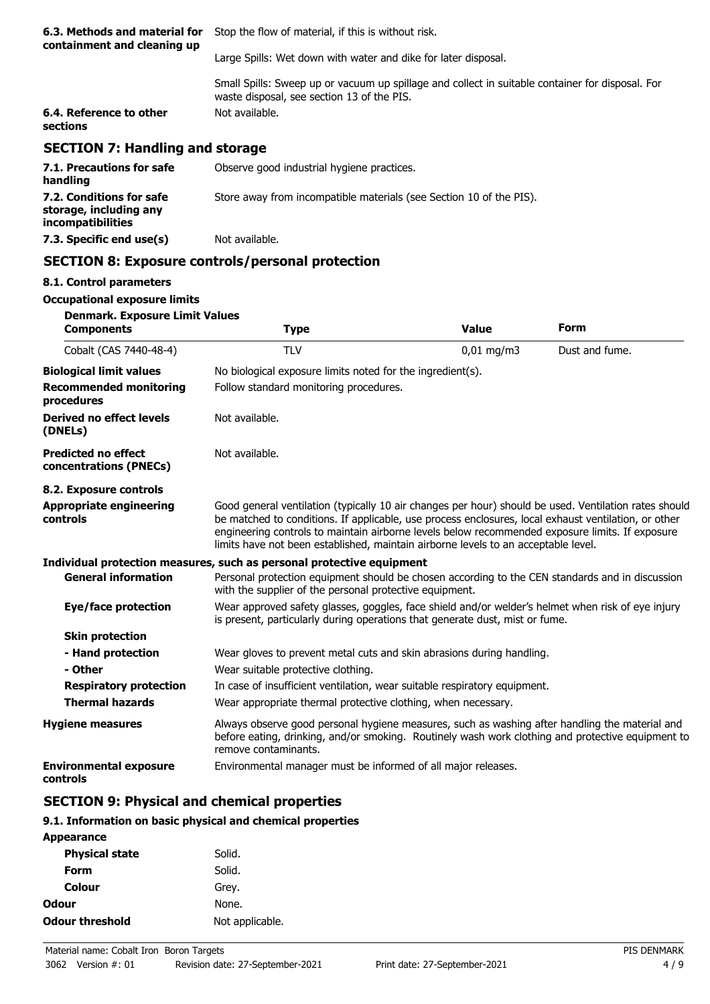| 6.3. Methods and material for<br>containment and cleaning up | Stop the flow of material, if this is without risk.                                                                                            |  |
|--------------------------------------------------------------|------------------------------------------------------------------------------------------------------------------------------------------------|--|
|                                                              | Large Spills: Wet down with water and dike for later disposal.                                                                                 |  |
|                                                              | Small Spills: Sweep up or vacuum up spillage and collect in suitable container for disposal. For<br>waste disposal, see section 13 of the PIS. |  |
| 6.4. Reference to other<br>sections                          | Not available.                                                                                                                                 |  |
| <b>SECTION 7: Handling and storage</b>                       |                                                                                                                                                |  |
| 7.1. Precautions for safe<br>handling                        | Observe good industrial hygiene practices.                                                                                                     |  |
| 7.2. Conditions for safe                                     | Store away from incompatible materials (see Section 10 of the PIS).                                                                            |  |

# **SECTION 8: Exposure controls/personal protection**

### **8.1. Control parameters**

**storage, including any incompatibilities**

#### **Occupational exposure limits**

| <b>Denmark. Exposure Limit Values</b> |  |  |
|---------------------------------------|--|--|

**7.3. Specific end use(s)** Not available.

| <b>Components</b>                                    | <b>Type</b>                                                                                                                                                                                                                                                                                                                                                                                            | <b>Value</b>                                               | <b>Form</b>    |  |  |
|------------------------------------------------------|--------------------------------------------------------------------------------------------------------------------------------------------------------------------------------------------------------------------------------------------------------------------------------------------------------------------------------------------------------------------------------------------------------|------------------------------------------------------------|----------------|--|--|
| Cobalt (CAS 7440-48-4)                               | <b>TLV</b>                                                                                                                                                                                                                                                                                                                                                                                             | $0,01 \text{ mg/m}$ 3                                      | Dust and fume. |  |  |
| <b>Biological limit values</b>                       |                                                                                                                                                                                                                                                                                                                                                                                                        | No biological exposure limits noted for the ingredient(s). |                |  |  |
| <b>Recommended monitoring</b><br>procedures          | Follow standard monitoring procedures.                                                                                                                                                                                                                                                                                                                                                                 |                                                            |                |  |  |
| Derived no effect levels<br>(DNELs)                  | Not available.                                                                                                                                                                                                                                                                                                                                                                                         |                                                            |                |  |  |
| <b>Predicted no effect</b><br>concentrations (PNECs) | Not available.                                                                                                                                                                                                                                                                                                                                                                                         |                                                            |                |  |  |
| 8.2. Exposure controls                               |                                                                                                                                                                                                                                                                                                                                                                                                        |                                                            |                |  |  |
| <b>Appropriate engineering</b><br>controls           | Good general ventilation (typically 10 air changes per hour) should be used. Ventilation rates should<br>be matched to conditions. If applicable, use process enclosures, local exhaust ventilation, or other<br>engineering controls to maintain airborne levels below recommended exposure limits. If exposure<br>limits have not been established, maintain airborne levels to an acceptable level. |                                                            |                |  |  |
|                                                      | Individual protection measures, such as personal protective equipment                                                                                                                                                                                                                                                                                                                                  |                                                            |                |  |  |
| <b>General information</b>                           | Personal protection equipment should be chosen according to the CEN standards and in discussion<br>with the supplier of the personal protective equipment.                                                                                                                                                                                                                                             |                                                            |                |  |  |
| <b>Eye/face protection</b>                           | Wear approved safety glasses, goggles, face shield and/or welder's helmet when risk of eye injury<br>is present, particularly during operations that generate dust, mist or fume.                                                                                                                                                                                                                      |                                                            |                |  |  |
| <b>Skin protection</b>                               |                                                                                                                                                                                                                                                                                                                                                                                                        |                                                            |                |  |  |
| - Hand protection                                    | Wear gloves to prevent metal cuts and skin abrasions during handling.                                                                                                                                                                                                                                                                                                                                  |                                                            |                |  |  |
| - Other                                              | Wear suitable protective clothing.                                                                                                                                                                                                                                                                                                                                                                     |                                                            |                |  |  |
| <b>Respiratory protection</b>                        | In case of insufficient ventilation, wear suitable respiratory equipment.                                                                                                                                                                                                                                                                                                                              |                                                            |                |  |  |
| <b>Thermal hazards</b>                               | Wear appropriate thermal protective clothing, when necessary.                                                                                                                                                                                                                                                                                                                                          |                                                            |                |  |  |
| <b>Hygiene measures</b>                              | Always observe good personal hygiene measures, such as washing after handling the material and<br>before eating, drinking, and/or smoking. Routinely wash work clothing and protective equipment to<br>remove contaminants.                                                                                                                                                                            |                                                            |                |  |  |
| <b>Environmental exposure</b><br>controls            | Environmental manager must be informed of all major releases.                                                                                                                                                                                                                                                                                                                                          |                                                            |                |  |  |

# **SECTION 9: Physical and chemical properties**

#### **9.1. Information on basic physical and chemical properties**

| <b>Appearance</b>      |                 |
|------------------------|-----------------|
| <b>Physical state</b>  | Solid.          |
| Form                   | Solid.          |
| Colour                 | Grey.           |
| Odour                  | None.           |
| <b>Odour threshold</b> | Not applicable. |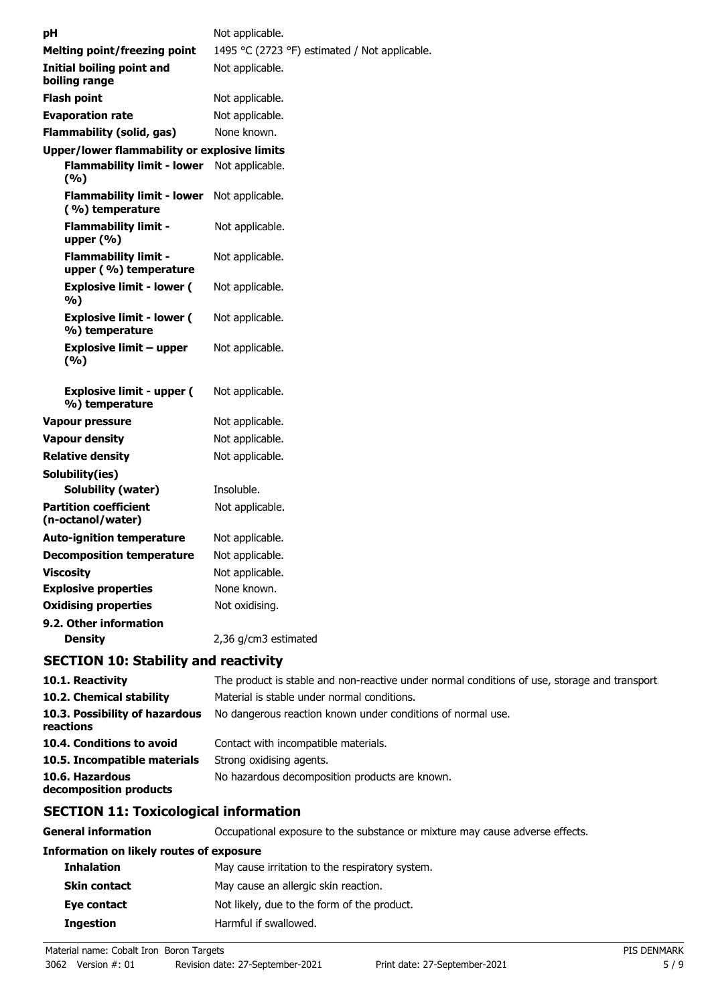| рH                                                   | Not applicable.                               |
|------------------------------------------------------|-----------------------------------------------|
| <b>Melting point/freezing point</b>                  | 1495 °C (2723 °F) estimated / Not applicable. |
| Initial boiling point and<br>boiling range           | Not applicable.                               |
| <b>Flash point</b>                                   | Not applicable.                               |
| <b>Evaporation rate</b>                              | Not applicable.                               |
| Flammability (solid, gas)                            | None known.                                   |
| <b>Upper/lower flammability or explosive limits</b>  |                                               |
| <b>Flammability limit - lower</b><br>(%)             | Not applicable.                               |
| <b>Flammability limit - lower</b><br>(%) temperature | Not applicable.                               |
| <b>Flammability limit -</b><br>upper $(\% )$         | Not applicable.                               |
| <b>Flammability limit -</b><br>upper (%) temperature | Not applicable.                               |
| <b>Explosive limit - lower (</b><br>%)               | Not applicable.                               |
| <b>Explosive limit - lower (</b><br>%) temperature   | Not applicable.                               |
| <b>Explosive limit - upper</b><br>(9/6)              | Not applicable.                               |
| <b>Explosive limit - upper (</b><br>%) temperature   | Not applicable.                               |
| Vapour pressure                                      | Not applicable.                               |
| <b>Vapour density</b>                                | Not applicable.                               |
| <b>Relative density</b>                              | Not applicable.                               |
| Solubility(ies)                                      |                                               |
| <b>Solubility (water)</b>                            | Insoluble.                                    |
| <b>Partition coefficient</b><br>(n-octanol/water)    | Not applicable.                               |
| <b>Auto-ignition temperature</b>                     | Not applicable.                               |
| <b>Decomposition temperature</b>                     | Not applicable.                               |
| <b>Viscosity</b>                                     | Not applicable.                               |
| <b>Explosive properties</b>                          | None known.                                   |
| <b>Oxidising properties</b>                          | Not oxidising.                                |
| 9.2. Other information                               |                                               |
| <b>Density</b>                                       | 2,36 g/cm3 estimated                          |

# **SECTION 10: Stability and reactivity**

| 10.1. Reactivity                            | The product is stable and non-reactive under normal conditions of use, storage and transport |
|---------------------------------------------|----------------------------------------------------------------------------------------------|
| 10.2. Chemical stability                    | Material is stable under normal conditions.                                                  |
| 10.3. Possibility of hazardous<br>reactions | No dangerous reaction known under conditions of normal use.                                  |
| 10.4. Conditions to avoid                   | Contact with incompatible materials.                                                         |
| 10.5. Incompatible materials                | Strong oxidising agents.                                                                     |
| 10.6. Hazardous<br>decomposition products   | No hazardous decomposition products are known.                                               |

# **SECTION 11: Toxicological information**

**General information CCCUPATION** Occupational exposure to the substance or mixture may cause adverse effects.

# **Information on likely routes of exposure**

| May cause irritation to the respiratory system.            |  |
|------------------------------------------------------------|--|
| May cause an allergic skin reaction.                       |  |
| Not likely, due to the form of the product.<br>Eye contact |  |
| Harmful if swallowed.                                      |  |
|                                                            |  |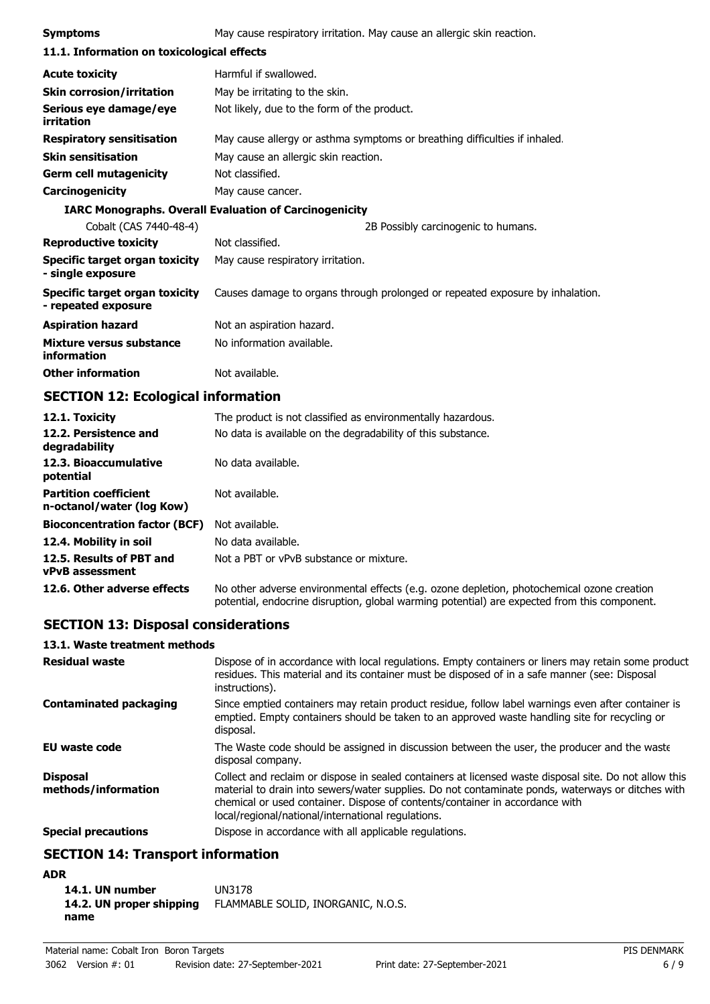| <b>Symptoms</b>                                       | May cause respiratory irritation. May cause an allergic skin reaction.        |  |  |  |
|-------------------------------------------------------|-------------------------------------------------------------------------------|--|--|--|
| 11.1. Information on toxicological effects            |                                                                               |  |  |  |
| <b>Acute toxicity</b>                                 | Harmful if swallowed.                                                         |  |  |  |
| <b>Skin corrosion/irritation</b>                      | May be irritating to the skin.                                                |  |  |  |
| Serious eye damage/eye<br>irritation                  | Not likely, due to the form of the product.                                   |  |  |  |
| <b>Respiratory sensitisation</b>                      | May cause allergy or asthma symptoms or breathing difficulties if inhaled.    |  |  |  |
| <b>Skin sensitisation</b>                             | May cause an allergic skin reaction.                                          |  |  |  |
| <b>Germ cell mutagenicity</b>                         | Not classified.                                                               |  |  |  |
| <b>Carcinogenicity</b>                                | May cause cancer.                                                             |  |  |  |
|                                                       | <b>IARC Monographs. Overall Evaluation of Carcinogenicity</b>                 |  |  |  |
| Cobalt (CAS 7440-48-4)                                | 2B Possibly carcinogenic to humans.                                           |  |  |  |
| <b>Reproductive toxicity</b>                          | Not classified.                                                               |  |  |  |
| Specific target organ toxicity<br>- single exposure   | May cause respiratory irritation.                                             |  |  |  |
| Specific target organ toxicity<br>- repeated exposure | Causes damage to organs through prolonged or repeated exposure by inhalation. |  |  |  |
| <b>Aspiration hazard</b>                              | Not an aspiration hazard.                                                     |  |  |  |
| Mixture versus substance<br>information               | No information available.                                                     |  |  |  |
| <b>Other information</b>                              | Not available.                                                                |  |  |  |

# **SECTION 12: Ecological information**

| 12.1. Toxicity                                            | The product is not classified as environmentally hazardous.                                                                                                                                |
|-----------------------------------------------------------|--------------------------------------------------------------------------------------------------------------------------------------------------------------------------------------------|
| 12.2. Persistence and<br>degradability                    | No data is available on the degradability of this substance.                                                                                                                               |
| 12.3. Bioaccumulative<br>potential                        | No data available.                                                                                                                                                                         |
| <b>Partition coefficient</b><br>n-octanol/water (log Kow) | Not available.                                                                                                                                                                             |
| <b>Bioconcentration factor (BCF)</b>                      | Not available.                                                                                                                                                                             |
| 12.4. Mobility in soil                                    | No data available.                                                                                                                                                                         |
| 12.5. Results of PBT and<br><b>vPvB</b> assessment        | Not a PBT or vPvB substance or mixture.                                                                                                                                                    |
| 12.6. Other adverse effects                               | No other adverse environmental effects (e.g. ozone depletion, photochemical ozone creation<br>potential, endocrine disruption, global warming potential) are expected from this component. |

# **SECTION 13: Disposal considerations**

## **13.1. Waste treatment methods**

| <b>Residual waste</b>                  | Dispose of in accordance with local regulations. Empty containers or liners may retain some product<br>residues. This material and its container must be disposed of in a safe manner (see: Disposal<br>instructions).                                                                                                                            |
|----------------------------------------|---------------------------------------------------------------------------------------------------------------------------------------------------------------------------------------------------------------------------------------------------------------------------------------------------------------------------------------------------|
| <b>Contaminated packaging</b>          | Since emptied containers may retain product residue, follow label warnings even after container is<br>emptied. Empty containers should be taken to an approved waste handling site for recycling or<br>disposal.                                                                                                                                  |
| <b>EU waste code</b>                   | The Waste code should be assigned in discussion between the user, the producer and the waste<br>disposal company.                                                                                                                                                                                                                                 |
| <b>Disposal</b><br>methods/information | Collect and reclaim or dispose in sealed containers at licensed waste disposal site. Do not allow this<br>material to drain into sewers/water supplies. Do not contaminate ponds, waterways or ditches with<br>chemical or used container. Dispose of contents/container in accordance with<br>local/regional/national/international regulations. |
| <b>Special precautions</b>             | Dispose in accordance with all applicable regulations.                                                                                                                                                                                                                                                                                            |

# **SECTION 14: Transport information**

# **ADR**

| 14.1. UN number          | UN3178                             |
|--------------------------|------------------------------------|
| 14.2. UN proper shipping | FLAMMABLE SOLID, INORGANIC, N.O.S. |
| name                     |                                    |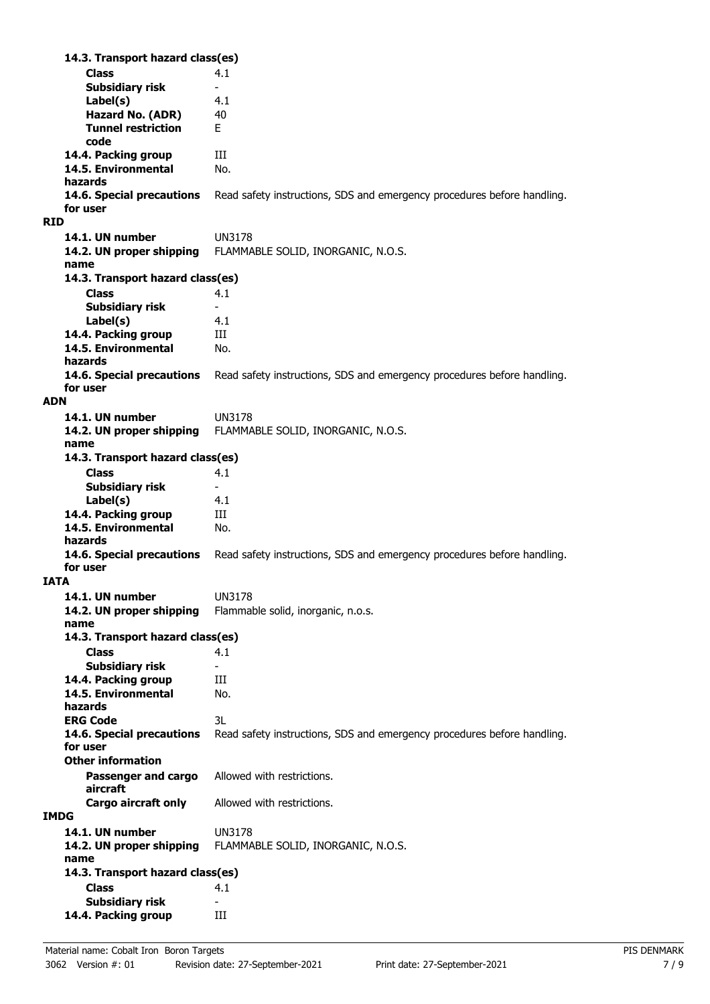**Class** 4.1 **14.3. Transport hazard class(es) Subsidiary risk Label(s)** 4.1 **Hazard No. (ADR)** 40 **Tunnel restriction** E **code 14.4. Packing group III 14.5. Environmental** No. **hazards** Read safety instructions, SDS and emergency procedures before handling. **for user RID 14.1. UN number** UN3178 **14.2. UN proper shipping** FLAMMABLE SOLID, INORGANIC, N.O.S. **name Class** 4.1 **14.3. Transport hazard class(es) Subsidiary risk Label(s)** 4.1 14.4. Packing group **III 14.5. Environmental** No. **hazards 14.6. Special precautions** Read safety instructions, SDS and emergency procedures before handling. **for user ADN 14.1. UN number** UN3178 **14.2. UN proper shipping** FLAMMABLE SOLID, INORGANIC, N.O.S. **name Class** 4.1 **14.3. Transport hazard class(es) Subsidiary risk Label(s)** 4.1 14.4. Packing group **III 14.5. Environmental** No. **hazards 14.6. Special precautions** Read safety instructions, SDS and emergency procedures before handling. **for user IATA 14.1. UN number** UN3178 **14.2. UN proper shipping** Flammable solid, inorganic, n.o.s. **name Class** 4.1 **14.3. Transport hazard class(es) Subsidiary risk 14.4. Packing group III 14.5. Environmental** No. **hazards ERG Code** 3L **14.6. Special precautions** Read safety instructions, SDS and emergency procedures before handling. **for user Passenger and cargo** Allowed with restrictions. **aircraft Other information Cargo aircraft only** Allowed with restrictions. **IMDG 14.1. UN number** UN3178 **14.2. UN proper shipping** FLAMMABLE SOLID, INORGANIC, N.O.S. **name Class** 4.1 **14.3. Transport hazard class(es) Subsidiary risk 14.4. Packing group III**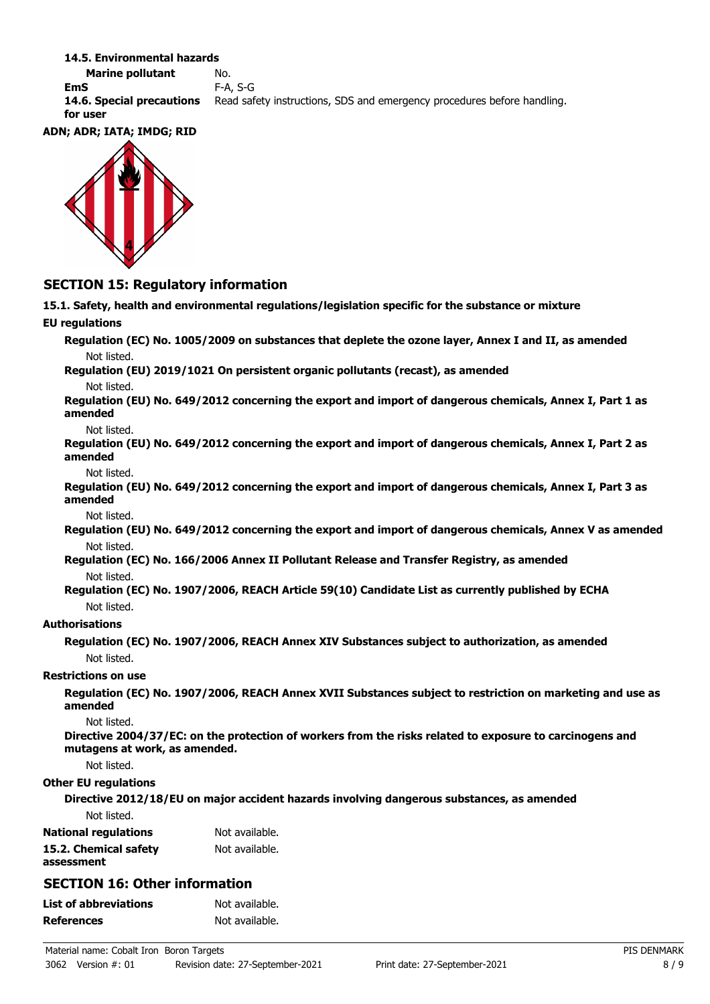#### **14.5. Environmental hazards**

**Marine pollutant** No. **EmS** F-A, S-G **14.6. Special precautions** Read safety instructions, SDS and emergency procedures before handling. **for user**

#### **ADN; ADR; IATA; IMDG; RID**



# **SECTION 15: Regulatory information**

**15.1. Safety, health and environmental regulations/legislation specific for the substance or mixture EU regulations Regulation (EC) No. 1005/2009 on substances that deplete the ozone layer, Annex I and II, as amended** Not listed. **Regulation (EU) 2019/1021 On persistent organic pollutants (recast), as amended** Not listed. **Regulation (EU) No. 649/2012 concerning the export and import of dangerous chemicals, Annex I, Part 1 as amended** Not listed. **Regulation (EU) No. 649/2012 concerning the export and import of dangerous chemicals, Annex I, Part 2 as amended** Not listed. **Regulation (EU) No. 649/2012 concerning the export and import of dangerous chemicals, Annex I, Part 3 as amended** Not listed. **Regulation (EU) No. 649/2012 concerning the export and import of dangerous chemicals, Annex V as amended** Not listed. **Regulation (EC) No. 166/2006 Annex II Pollutant Release and Transfer Registry, as amended** Not listed. **Regulation (EC) No. 1907/2006, REACH Article 59(10) Candidate List as currently published by ECHA** Not listed. **Authorisations Regulation (EC) No. 1907/2006, REACH Annex XIV Substances subject to authorization, as amended** Not listed. **Restrictions on use Regulation (EC) No. 1907/2006, REACH Annex XVII Substances subject to restriction on marketing and use as amended** Not listed. **Directive 2004/37/EC: on the protection of workers from the risks related to exposure to carcinogens and mutagens at work, as amended.** Not listed. **Other EU regulations Directive 2012/18/EU on major accident hazards involving dangerous substances, as amended** Not listed. **National regulations** Not available. **15.2. Chemical safety** Not available. **assessment SECTION 16: Other information List of abbreviations** Not available. **References** Not available.